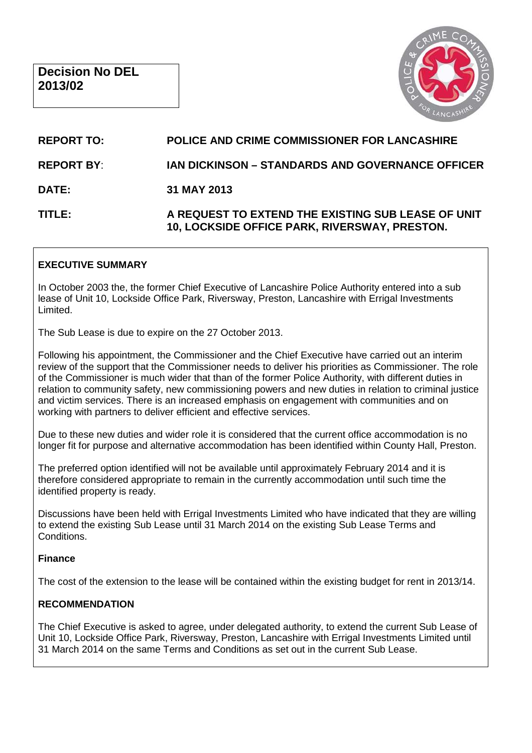

# **REPORT TO: POLICE AND CRIME COMMISSIONER FOR LANCASHIRE REPORT BY**: **IAN DICKINSON – STANDARDS AND GOVERNANCE OFFICER DATE: 31 MAY 2013 TITLE: A REQUEST TO EXTEND THE EXISTING SUB LEASE OF UNIT 10, LOCKSIDE OFFICE PARK, RIVERSWAY, PRESTON.**

#### **EXECUTIVE SUMMARY**

In October 2003 the, the former Chief Executive of Lancashire Police Authority entered into a sub lease of Unit 10, Lockside Office Park, Riversway, Preston, Lancashire with Errigal Investments Limited.

The Sub Lease is due to expire on the 27 October 2013.

Following his appointment, the Commissioner and the Chief Executive have carried out an interim review of the support that the Commissioner needs to deliver his priorities as Commissioner. The role of the Commissioner is much wider that than of the former Police Authority, with different duties in relation to community safety, new commissioning powers and new duties in relation to criminal justice and victim services. There is an increased emphasis on engagement with communities and on working with partners to deliver efficient and effective services.

Due to these new duties and wider role it is considered that the current office accommodation is no longer fit for purpose and alternative accommodation has been identified within County Hall, Preston.

The preferred option identified will not be available until approximately February 2014 and it is therefore considered appropriate to remain in the currently accommodation until such time the identified property is ready.

Discussions have been held with Errigal Investments Limited who have indicated that they are willing to extend the existing Sub Lease until 31 March 2014 on the existing Sub Lease Terms and Conditions.

#### **Finance**

The cost of the extension to the lease will be contained within the existing budget for rent in 2013/14.

#### **RECOMMENDATION**

The Chief Executive is asked to agree, under delegated authority, to extend the current Sub Lease of Unit 10, Lockside Office Park, Riversway, Preston, Lancashire with Errigal Investments Limited until 31 March 2014 on the same Terms and Conditions as set out in the current Sub Lease.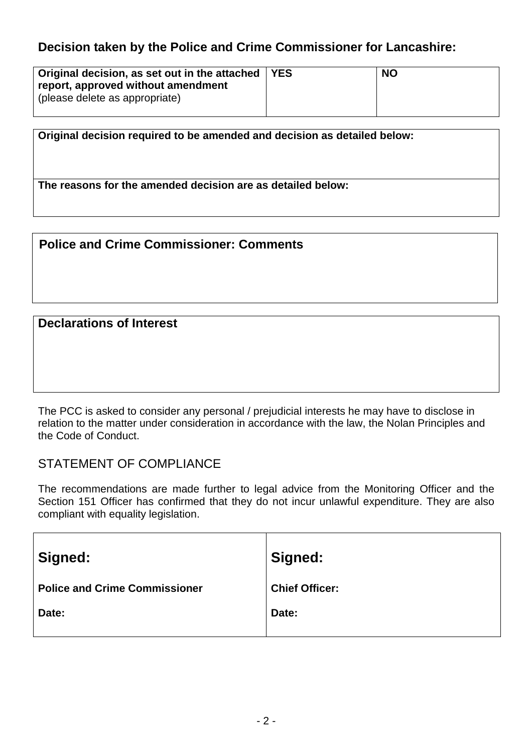## **Decision taken by the Police and Crime Commissioner for Lancashire:**

| Original decision, as set out in the attached   YES<br>report, approved without amendment<br>(please delete as appropriate) | <b>NO</b> |
|-----------------------------------------------------------------------------------------------------------------------------|-----------|
|                                                                                                                             |           |

**Original decision required to be amended and decision as detailed below:**

**The reasons for the amended decision are as detailed below:**

**Police and Crime Commissioner: Comments** 

## **Declarations of Interest**

The PCC is asked to consider any personal / prejudicial interests he may have to disclose in relation to the matter under consideration in accordance with the law, the Nolan Principles and the Code of Conduct.

### STATEMENT OF COMPLIANCE

The recommendations are made further to legal advice from the Monitoring Officer and the Section 151 Officer has confirmed that they do not incur unlawful expenditure. They are also compliant with equality legislation.

| Signed:                              | Signed:               |
|--------------------------------------|-----------------------|
| <b>Police and Crime Commissioner</b> | <b>Chief Officer:</b> |
| Date:                                | Date:                 |